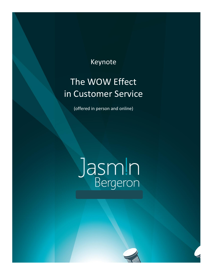### Keynote

## The WOW Effect in Customer Service

(offered in person and online)

# Jasmin

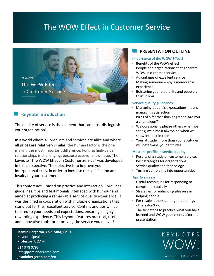## The WOW Effect in Customer Service



#### **Keynote Introduction**

The quality of service is the element that can most distinguish your organization!

In a world where all products and services are alike and where all prices are relatively similar, the human factor is the one making the most important difference. Forging high-value relationships is challenging, because everyone is unique. The keynote "The WOW Effect in Customer Service" was developed in this perspective. The objective is to improve your interpersonal skills, in order to increase the satisfaction and loyalty of your customers!

This conference—based on practice and interaction—provides guidelines, tips and testimonials interlaced with humour and aimed at producing a remarkable service quality experience. It was designed in cooperation with multiple organizations that stand out for their excellent service. Content and tips will be tailored to your needs and expectations, ensuring a highly rewarding experience. This keynote features practical, useful and innovative tools for improving the service you deliver!

**Jasmin Bergeron, CSP, MBA, Ph.D.** Keynote Speaker Professor, UQAM 514 978 0795 info@jasminbergeron.com **jasminbergeron.com/en**

#### **PRESENTATION OUTLINE**

#### **Importance of the WOW Effect!**

- Benefits of the WOW effect
- People and organizations that generate WOW in customer service
- Advantages of excellent service
- Making someone enjoy a memorable experience
- Bolstering your credibility and people's trust in you

#### **Service quality guidelines**

- Managing people's expectations means managing satisfaction
- Birds of a feather flock together. Are you a chameleon?
- We occasionally please others when we speak; we almost always do when we show interest in them
- Your attitude, more than your aptitudes, will determine your altitude!

#### **Masters' profile in service quality**

- Results of a study on customer service.
- Best strategies for organizations
- Service quality and technology
- Turning complaints into opportunities

#### *Tips to success*

- Useful techniques for responding to complaints tactfully
- Strategies for enhancing pleasure in helping people
- For results others don't get, do things others don't do
- The first steps to practice what you have learned and WOW your clients after the presentation